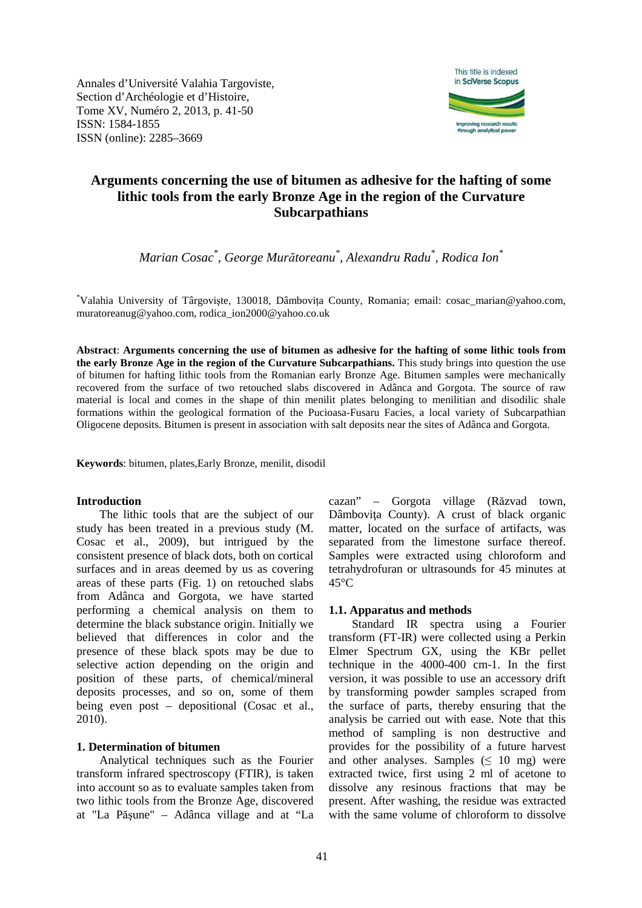Annales d'Université Valahia Targoviste, Section d'Archéologie et d'Histoire, Tome XV, Numéro 2, 2013, p. 41-50 ISSN: 1584-1855 ISSN (online): 2285–3669



# **Arguments concerning the use of bitumen as adhesive for the hafting of some lithic tools from the early Bronze Age in the region of the Curvature Subcarpathians**

*Marian Cosac\* , George Murătoreanu\* , Alexandru Radu\* , Rodica Ion\** 

\*Valahia University of Târgovişte, 130018, Dâmbovița County, Romania; email: cosac\_marian@yahoo.com, muratoreanug@yahoo.com, rodica\_ion2000@yahoo.co.uk

**Abstract**: **Arguments concerning the use of bitumen as adhesive for the hafting of some lithic tools from the early Bronze Age in the region of the Curvature Subcarpathians.** This study brings into question the use of bitumen for hafting lithic tools from the Romanian early Bronze Age. Bitumen samples were mechanically recovered from the surface of two retouched slabs discovered in Adânca and Gorgota. The source of raw material is local and comes in the shape of thin menilit plates belonging to menilitian and disodilic shale formations within the geological formation of the Pucioasa-Fusaru Facies, a local variety of Subcarpathian Oligocene deposits. Bitumen is present in association with salt deposits near the sites of Adânca and Gorgota.

**Keywords**: bitumen, plates,Early Bronze, menilit, disodil

### **Introduction**

The lithic tools that are the subject of our study has been treated in a previous study (M. Cosac et al., 2009), but intrigued by the consistent presence of black dots, both on cortical surfaces and in areas deemed by us as covering areas of these parts (Fig. 1) on retouched slabs from Adânca and Gorgota, we have started performing a chemical analysis on them to determine the black substance origin. Initially we believed that differences in color and the presence of these black spots may be due to selective action depending on the origin and position of these parts, of chemical/mineral deposits processes, and so on, some of them being even post – depositional (Cosac et al., 2010).

#### **1. Determination of bitumen**

Analytical techniques such as the Fourier transform infrared spectroscopy (FTIR), is taken into account so as to evaluate samples taken from two lithic tools from the Bronze Age, discovered at "La Păşune" – Adânca village and at "La

cazan" – Gorgota village (Răzvad town, Dâmbovita County). A crust of black organic matter, located on the surface of artifacts, was separated from the limestone surface thereof. Samples were extracted using chloroform and tetrahydrofuran or ultrasounds for 45 minutes at 45°C

#### **1.1. Apparatus and methods**

Standard IR spectra using a Fourier transform (FT-IR) were collected using a Perkin Elmer Spectrum GX, using the KBr pellet technique in the 4000-400 cm-1. In the first version, it was possible to use an accessory drift by transforming powder samples scraped from the surface of parts, thereby ensuring that the analysis be carried out with ease. Note that this method of sampling is non destructive and provides for the possibility of a future harvest and other analyses. Samples  $( \leq 10$  mg) were extracted twice, first using 2 ml of acetone to dissolve any resinous fractions that may be present. After washing, the residue was extracted with the same volume of chloroform to dissolve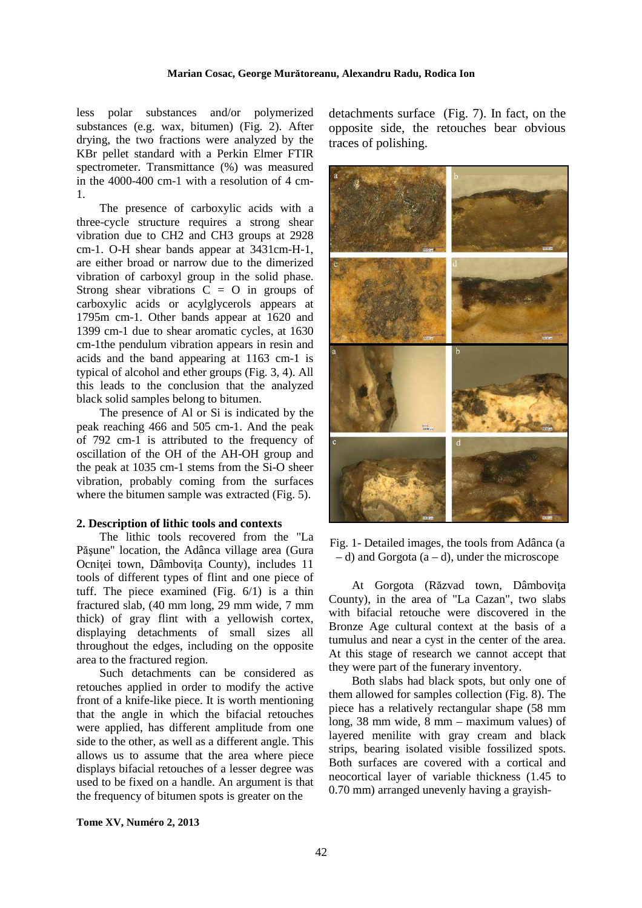#### **Marian Cosac, George Murătoreanu, Alexandru Radu, Rodica Ion**

less polar substances and/or polymerized substances (e.g. wax, bitumen) (Fig. 2). After drying, the two fractions were analyzed by the KBr pellet standard with a Perkin Elmer FTIR spectrometer. Transmittance (%) was measured in the 4000-400 cm-1 with a resolution of 4 cm-1.

The presence of carboxylic acids with a three-cycle structure requires a strong shear vibration due to CH2 and CH3 groups at 2928 cm-1. O-H shear bands appear at 3431cm-H-1, are either broad or narrow due to the dimerized vibration of carboxyl group in the solid phase. Strong shear vibrations  $\hat{C} = 0$  in groups of carboxylic acids or acylglycerols appears at 1795m cm-1. Other bands appear at 1620 and 1399 cm-1 due to shear aromatic cycles, at 1630 cm-1the pendulum vibration appears in resin and acids and the band appearing at 1163 cm-1 is typical of alcohol and ether groups (Fig. 3, 4). All this leads to the conclusion that the analyzed black solid samples belong to bitumen.

The presence of Al or Si is indicated by the peak reaching 466 and 505 cm-1. And the peak of 792 cm-1 is attributed to the frequency of oscillation of the OH of the AH-OH group and the peak at 1035 cm-1 stems from the Si-O sheer vibration, probably coming from the surfaces where the bitumen sample was extracted (Fig. 5).

#### **2. Description of lithic tools and contexts**

The lithic tools recovered from the "La Păşune" location, the Adânca village area (Gura Ocnitei town, Dâmbovița County), includes 11 tools of different types of flint and one piece of tuff. The piece examined (Fig. 6/1) is a thin fractured slab, (40 mm long, 29 mm wide, 7 mm thick) of gray flint with a yellowish cortex, displaying detachments of small sizes all throughout the edges, including on the opposite area to the fractured region.

Such detachments can be considered as retouches applied in order to modify the active front of a knife-like piece. It is worth mentioning that the angle in which the bifacial retouches were applied, has different amplitude from one side to the other, as well as a different angle. This allows us to assume that the area where piece displays bifacial retouches of a lesser degree was used to be fixed on a handle. An argument is that the frequency of bitumen spots is greater on the

**Tome XV, Numéro 2, 2013** 

detachments surface (Fig. 7). In fact, on the opposite side, the retouches bear obvious traces of polishing.



Fig. 1- Detailed images, the tools from Adânca (a – d) and Gorgota (a – d), under the microscope

At Gorgota (Răzvad town, Dâmboviţa County), in the area of "La Cazan", two slabs with bifacial retouche were discovered in the Bronze Age cultural context at the basis of a tumulus and near a cyst in the center of the area. At this stage of research we cannot accept that they were part of the funerary inventory.

Both slabs had black spots, but only one of them allowed for samples collection (Fig. 8). The piece has a relatively rectangular shape (58 mm long, 38 mm wide, 8 mm – maximum values) of layered menilite with gray cream and black strips, bearing isolated visible fossilized spots. Both surfaces are covered with a cortical and neocortical layer of variable thickness (1.45 to 0.70 mm) arranged unevenly having a grayish-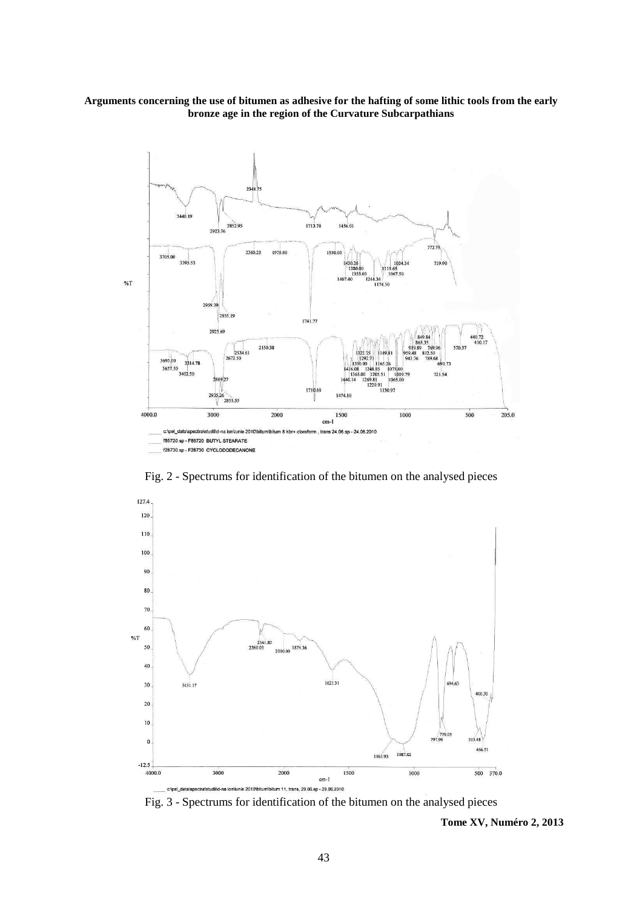

Fig. 2 - Spectrums for identification of the bitumen on the analysed pieces



Fig. 3 - Spectrums for identification of the bitumen on the analysed pieces

 **Tome XV, Numéro 2, 2013**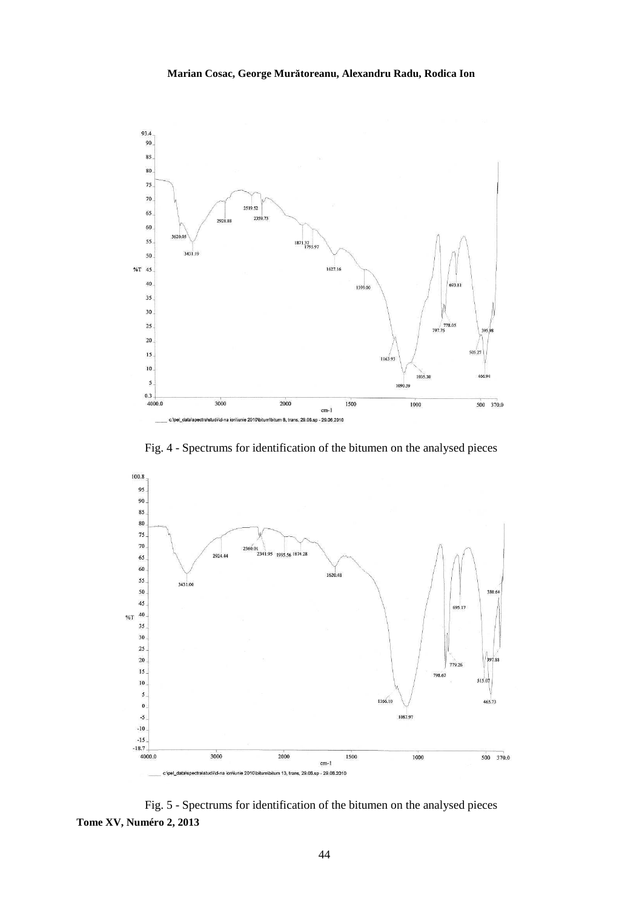

Fig. 4 - Spectrums for identification of the bitumen on the analysed pieces



**Tome XV, Numéro 2, 2013**  Fig. 5 - Spectrums for identification of the bitumen on the analysed pieces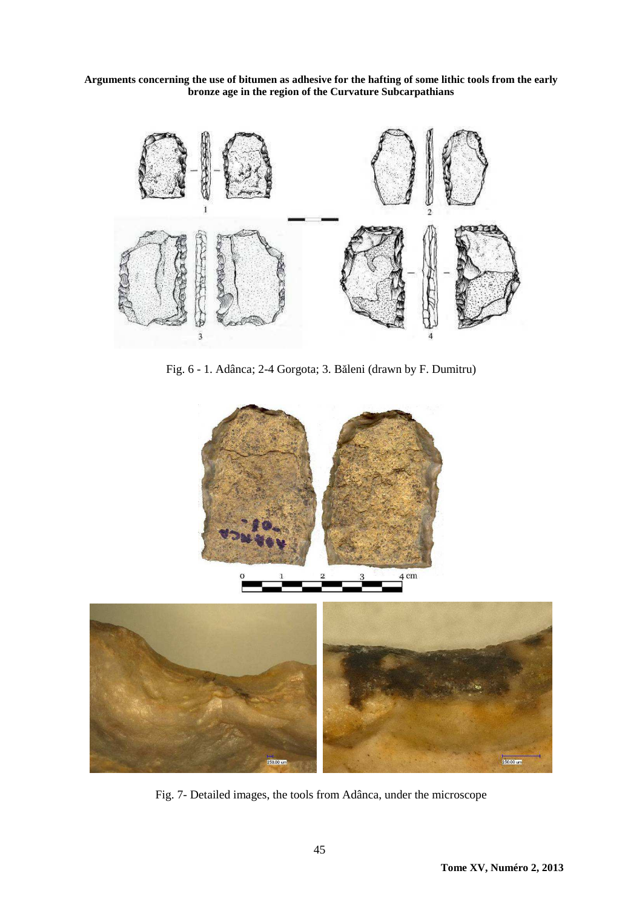

Fig. 6 - 1. Adânca; 2-4 Gorgota; 3. Băleni (drawn by F. Dumitru)





Fig. 7- Detailed images, the tools from Adânca, under the microscope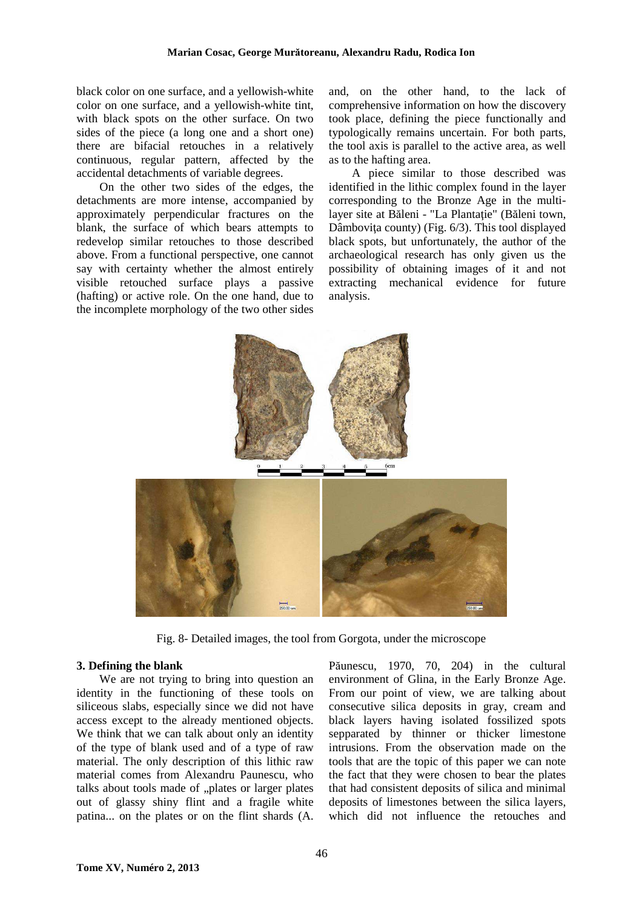black color on one surface, and a yellowish-white color on one surface, and a yellowish-white tint, with black spots on the other surface. On two sides of the piece (a long one and a short one) there are bifacial retouches in a relatively continuous, regular pattern, affected by the accidental detachments of variable degrees.

On the other two sides of the edges, the detachments are more intense, accompanied by approximately perpendicular fractures on the blank, the surface of which bears attempts to redevelop similar retouches to those described above. From a functional perspective, one cannot say with certainty whether the almost entirely visible retouched surface plays a passive (hafting) or active role. On the one hand, due to the incomplete morphology of the two other sides

and, on the other hand, to the lack of comprehensive information on how the discovery took place, defining the piece functionally and typologically remains uncertain. For both parts, the tool axis is parallel to the active area, as well as to the hafting area.

A piece similar to those described was identified in the lithic complex found in the layer corresponding to the Bronze Age in the multilayer site at Băleni - "La Plantatie" (Băleni town, Dâmboviţa county) (Fig. 6/3). This tool displayed black spots, but unfortunately, the author of the archaeological research has only given us the possibility of obtaining images of it and not extracting mechanical evidence for future analysis.



Fig. 8- Detailed images, the tool from Gorgota, under the microscope

#### **3. Defining the blank**

We are not trying to bring into question an identity in the functioning of these tools on siliceous slabs, especially since we did not have access except to the already mentioned objects. We think that we can talk about only an identity of the type of blank used and of a type of raw material. The only description of this lithic raw material comes from Alexandru Paunescu, who talks about tools made of "plates or larger plates out of glassy shiny flint and a fragile white patina... on the plates or on the flint shards (A.

Păunescu, 1970, 70, 204) in the cultural environment of Glina, in the Early Bronze Age. From our point of view, we are talking about consecutive silica deposits in gray, cream and black layers having isolated fossilized spots sepparated by thinner or thicker limestone intrusions. From the observation made on the tools that are the topic of this paper we can note the fact that they were chosen to bear the plates that had consistent deposits of silica and minimal deposits of limestones between the silica layers, which did not influence the retouches and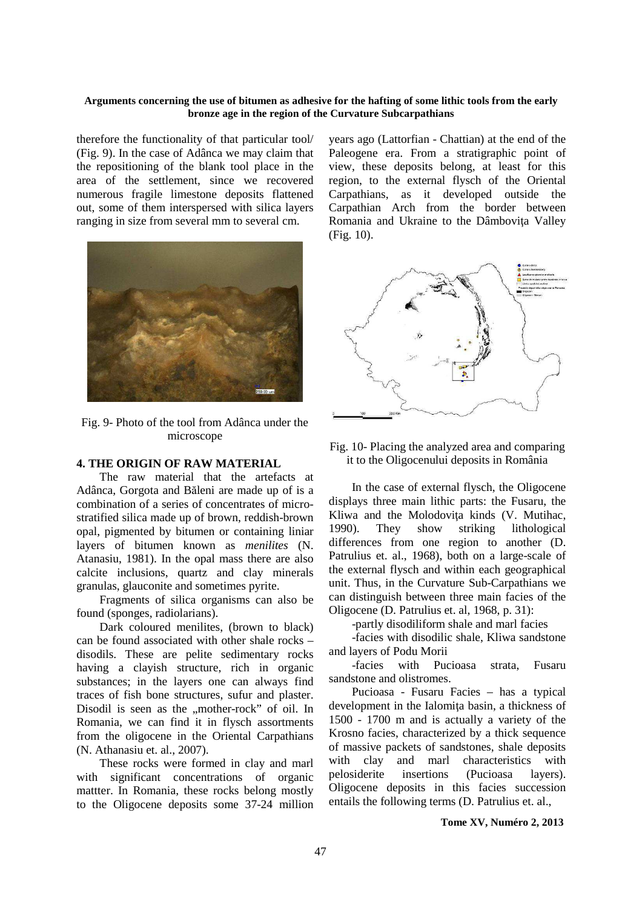therefore the functionality of that particular tool/ (Fig. 9). In the case of Adânca we may claim that the repositioning of the blank tool place in the area of the settlement, since we recovered numerous fragile limestone deposits flattened out, some of them interspersed with silica layers ranging in size from several mm to several cm.



Fig. 9- Photo of the tool from Adânca under the microscope

#### **4. THE ORIGIN OF RAW MATERIAL**

The raw material that the artefacts at Adânca, Gorgota and Băleni are made up of is a combination of a series of concentrates of microstratified silica made up of brown, reddish-brown opal, pigmented by bitumen or containing liniar layers of bitumen known as *menilites* (N. Atanasiu, 1981). In the opal mass there are also calcite inclusions, quartz and clay minerals granulas, glauconite and sometimes pyrite.

Fragments of silica organisms can also be found (sponges, radiolarians).

Dark coloured menilites, (brown to black) can be found associated with other shale rocks – disodils. These are pelite sedimentary rocks having a clayish structure, rich in organic substances; in the layers one can always find traces of fish bone structures, sufur and plaster. Disodil is seen as the "mother-rock" of oil. In Romania, we can find it in flysch assortments from the oligocene in the Oriental Carpathians (N. Athanasiu et. al., 2007).

These rocks were formed in clay and marl with significant concentrations of organic mattter. In Romania, these rocks belong mostly to the Oligocene deposits some 37-24 million years ago (Lattorfian - Chattian) at the end of the Paleogene era. From a stratigraphic point of view, these deposits belong, at least for this region, to the external flysch of the Oriental Carpathians, as it developed outside the Carpathian Arch from the border between Romania and Ukraine to the Dâmbovita Valley (Fig. 10).



Fig. 10- Placing the analyzed area and comparing it to the Oligocenului deposits in România

In the case of external flysch, the Oligocene displays three main lithic parts: the Fusaru, the Kliwa and the Molodoviţa kinds (V. Mutihac, 1990). They show striking lithological differences from one region to another (D. Patrulius et. al., 1968), both on a large-scale of the external flysch and within each geographical unit. Thus, in the Curvature Sub-Carpathians we can distinguish between three main facies of the Oligocene (D. Patrulius et. al, 1968, p. 31):

-partly disodiliform shale and marl facies

-facies with disodilic shale, Kliwa sandstone and layers of Podu Morii

-facies with Pucioasa strata, Fusaru sandstone and olistromes.

Pucioasa - Fusaru Facies – has a typical development in the Ialomita basin, a thickness of 1500 - 1700 m and is actually a variety of the Krosno facies, characterized by a thick sequence of massive packets of sandstones, shale deposits with clay and marl characteristics with pelosiderite insertions (Pucioasa layers). Oligocene deposits in this facies succession entails the following terms (D. Patrulius et. al.,

#### **Tome XV, Numéro 2, 2013**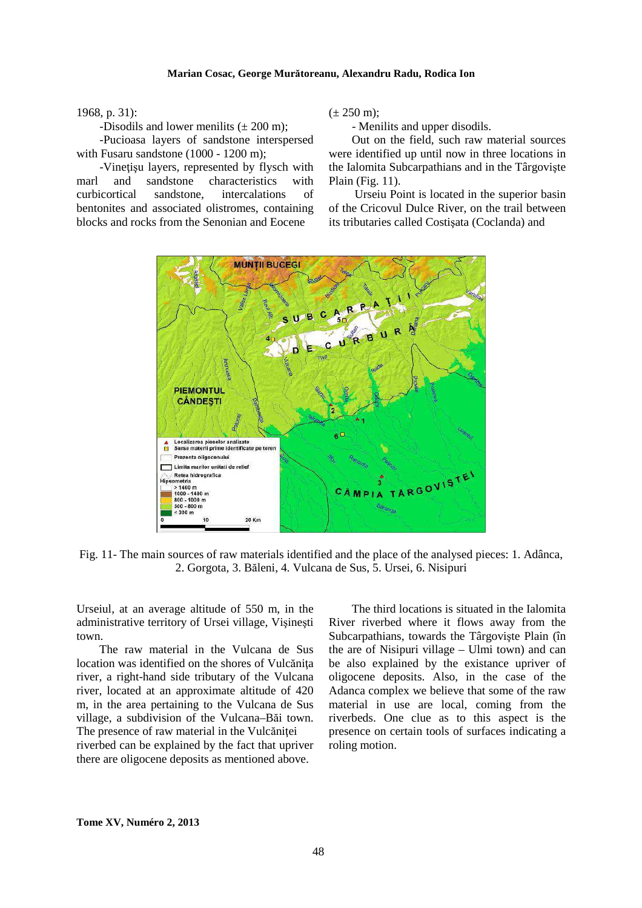#### **Marian Cosac, George Murătoreanu, Alexandru Radu, Rodica Ion**

1968, p. 31):

-Disodils and lower menilits  $(\pm 200 \text{ m})$ ;

-Pucioasa layers of sandstone interspersed with Fusaru sandstone (1000 - 1200 m);

-Vineţişu layers, represented by flysch with marl and sandstone characteristics with curbicortical sandstone, intercalations of bentonites and associated olistromes, containing blocks and rocks from the Senonian and Eocene

 $(\pm 250 \text{ m})$ ;

- Menilits and upper disodils.

Out on the field, such raw material sources were identified up until now in three locations in the Ialomita Subcarpathians and in the Târgovişte Plain (Fig. 11).

 Urseiu Point is located in the superior basin of the Cricovul Dulce River, on the trail between its tributaries called Costişata (Coclanda) and



Fig. 11- The main sources of raw materials identified and the place of the analysed pieces: 1. Adânca, 2. Gorgota, 3. Băleni, 4. Vulcana de Sus, 5. Ursei, 6. Nisipuri

Urseiul, at an average altitude of 550 m, in the administrative territory of Ursei village, Vişineşti town.

The raw material in the Vulcana de Sus location was identified on the shores of Vulcăniţa river, a right-hand side tributary of the Vulcana river, located at an approximate altitude of 420 m, in the area pertaining to the Vulcana de Sus village, a subdivision of the Vulcana–Băi town. The presence of raw material in the Vulcăniței riverbed can be explained by the fact that upriver

there are oligocene deposits as mentioned above.

The third locations is situated in the Ialomita River riverbed where it flows away from the Subcarpathians, towards the Târgovişte Plain (în the are of Nisipuri village – Ulmi town) and can be also explained by the existance upriver of oligocene deposits. Also, in the case of the Adanca complex we believe that some of the raw material in use are local, coming from the riverbeds. One clue as to this aspect is the presence on certain tools of surfaces indicating a roling motion.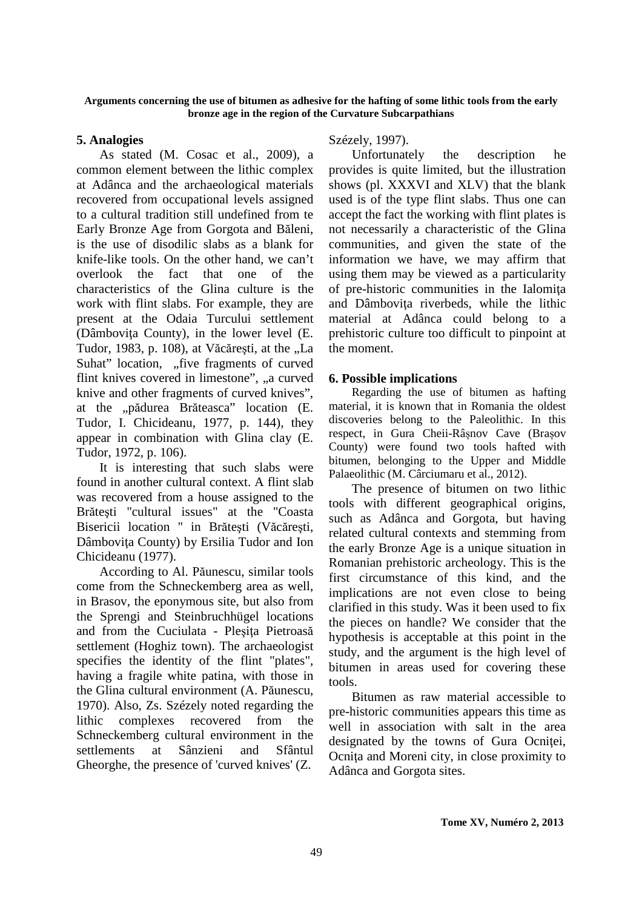## **5. Analogies**

As stated (M. Cosac et al., 2009), a common element between the lithic complex at Adânca and the archaeological materials recovered from occupational levels assigned to a cultural tradition still undefined from te Early Bronze Age from Gorgota and Băleni, is the use of disodilic slabs as a blank for knife-like tools. On the other hand, we can't overlook the fact that one of the characteristics of the Glina culture is the work with flint slabs. For example, they are present at the Odaia Turcului settlement (Dâmboviţa County), in the lower level (E. Tudor, 1983, p. 108), at Văcărești, at the "La Suhat" location, "five fragments of curved flint knives covered in limestone", "a curved knive and other fragments of curved knives", at the "pădurea Brăteasca" location (E. Tudor, I. Chicideanu, 1977, p. 144), they appear in combination with Glina clay (E. Tudor, 1972, p. 106).

It is interesting that such slabs were found in another cultural context. A flint slab was recovered from a house assigned to the Brăteşti "cultural issues" at the "Coasta Bisericii location " in Brăteşti (Văcăreşti, Dâmboviţa County) by Ersilia Tudor and Ion Chicideanu (1977).

According to Al. Păunescu, similar tools come from the Schneckemberg area as well, in Brasov, the eponymous site, but also from the Sprengi and Steinbruchhügel locations and from the Cuciulata - Plesita Pietroasă settlement (Hoghiz town). The archaeologist specifies the identity of the flint "plates", having a fragile white patina, with those in the Glina cultural environment (A. Păunescu, 1970). Also, Zs. Szézely noted regarding the lithic complexes recovered from the Schneckemberg cultural environment in the settlements at Sânzieni and Sfântul Gheorghe, the presence of 'curved knives' (Z.

## Szézely, 1997).

Unfortunately the description he provides is quite limited, but the illustration shows (pl. XXXVI and XLV) that the blank used is of the type flint slabs. Thus one can accept the fact the working with flint plates is not necessarily a characteristic of the Glina communities, and given the state of the information we have, we may affirm that using them may be viewed as a particularity of pre-historic communities in the Ialomiţa and Dâmbovita riverbeds, while the lithic material at Adânca could belong to a prehistoric culture too difficult to pinpoint at the moment.

## **6. Possible implications**

Regarding the use of bitumen as hafting material, it is known that in Romania the oldest discoveries belong to the Paleolithic. In this respect, in Gura Cheii-Râșnov Cave (Brașov County) were found two tools hafted with bitumen, belonging to the Upper and Middle Palaeolithic (M. Cârciumaru et al., 2012).

The presence of bitumen on two lithic tools with different geographical origins, such as Adânca and Gorgota, but having related cultural contexts and stemming from the early Bronze Age is a unique situation in Romanian prehistoric archeology. This is the first circumstance of this kind, and the implications are not even close to being clarified in this study. Was it been used to fix the pieces on handle? We consider that the hypothesis is acceptable at this point in the study, and the argument is the high level of bitumen in areas used for covering these tools.

Bitumen as raw material accessible to pre-historic communities appears this time as well in association with salt in the area designated by the towns of Gura Ocnitei, Ocniţa and Moreni city, in close proximity to Adânca and Gorgota sites.